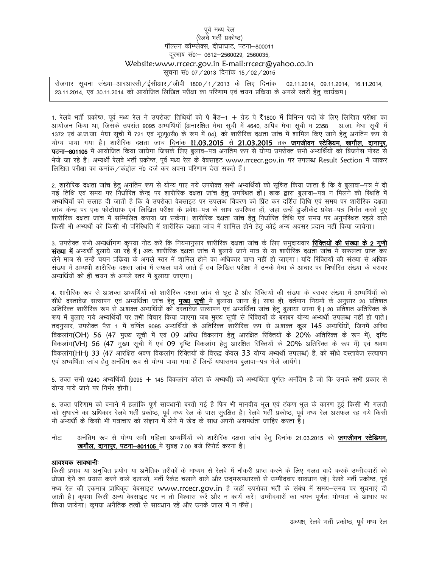## पूर्व मध्य रेल (रेलवे भर्ती प्रकोष्ठ) पॉल्सन कॉम्प्लेक्स, दीघाघाट, पटना–800011 दूरभाष सं0: - 0612-2560029, 2560035, Website:www.rrcecr.gov.in E-mail:rrcecr@yahoo.co.in सूचना सं0 07 / 2013 दिनांक 15 / 02 / 2015

रोजगार सूचना संख्या-आरआरसी / ईसीआर / जीपी 1800 / 1 / 2013 के लिए दिनांक 02.11.2014, 09.11.2014, 16.11.2014, 23.11.2014, एवं 30.11.2014 को आयोजित लिखित परीक्षा का परिणाम एवं चयन प्रकिया के अगले स्तरों हेतू कार्यक्रम।

1. रेलवे भर्ती प्रकोष्ठ, पूर्व मध्य रेल ने उपरोक्त तिथियों को पे बैंड−1 + ग्रेड पे ₹1800 में विभिन्न पदो के लिए लिखित परीक्षा का आयोजन किया था, जिसके उपरांत 9095 अभ्यर्थियों (अनारक्षित मेघा सूची में 4640, अपिव मेघा सूची म 2358 अ.जा. मेघा सूची में 1372 एवं अ.ज.जा. मेघा सूची में 721 एवं भू0पू0सै0 के रूप में 04), को शारीरिक दक्षता जांच में शामिल किए जाने हेतु अनंतिम रूप से योग्य पाया गया है। शारीरिक दक्षता जांच दिनांक 11.03.2015 से 21.03.2015 तक जगजीवन स्टेडियम, खगौल, दानापुर, **पटना-801105** में आयोजित किया जायेगा जिसके लिए बुलाव-पत्र अनंतिम रूप से योग्य उपरोक्त सभी अभ्यर्थियों को बिजनेस पोस्ट से भेजे जा रहे हैं। अभ्यर्थी रेलवे भर्ती प्रकोष्ठ, पूर्व मध्य रेल के वेबसाइट www.rrcecr.gov.in पर उपलब्ध Result Section में जाकर लिखित परीक्षा का कमांक / कंद्रोल नं0 दर्ज कर अपना परिणाम देख सकते हैं।

2. शारीरिक दक्षता जांच हेतू अनंतिम रूप से योग्य पाए गये उपरोक्त सभी अभ्यर्थियों को सूचित किया जाता है कि वे बूलावा—पत्र में दी गई तिथि एवं समय पर निर्धारित केन्द्र पर शारीरिक दक्षता जांच हेतु उपस्थित हों। डाक द्वारा बुलावा–पत्र न मिलने की स्थिति में अभ्यर्थियों को सलाह दी जाती है कि वे उपरोक्त वेबसाइट पर उपलब्ध विवरण को प्रिंट कर दर्शित तिथि एवं समय पर शारीरिक दक्षता जांच केन्द्र पर एक फोटोग्राफ एवं लिखित परीक्षा के प्रवेश—पत्र के साथ उपस्थित हों, जहां उन्हें डुप्लीकेट प्रवेश—पत्र निर्गत करते हुए शारीरिक दक्षता जांच में सम्मिलित कराया जा सकेगा। शारीरिक दक्षता जांच हेतु निर्धारित तिथि एवं समय पर अनुपरिथत रहले वाले किसी भी अभ्यर्थी को किसी भी परिस्थिति में शारीरिक दक्षता जांच में शामिल होने हेतु कोई अन्य अवसर प्रदान नहीं किया जायेगा।

3. उपरोक्त सभी अभ्यर्थीगण कृपया नोट करें कि नियमानुसार शारीरिक दक्षता जांच के लिए समुदायवार **रिक्तियों की संख्या के 2 गुणी संख्या में** अभ्यर्थी बूलाये जा रहे हैं। अतः शारीरिक दक्षता जांच में बूलाये जाने मात्र से या शारीरिक दक्षता जांच में सफलता प्राप्त कर लेने मात्र से उन्हें चयन प्रकिया के अगले स्तर में शामिल होने का अधिकार प्राप्त नहीं हो जाएगा। यदि रिक्तियों की संख्या से अधिक संख्या में अभ्यर्थी शारीरिक दक्षता जांच में सफल पाये जाते हैं तब लिखित परीक्षा में उनके मेघा के आधार पर निर्धारित संख्या के बराबर अभ्यर्थियों को हीं चयन के अगले स्तर में बुलाया जाएगा।

4. शारीरिक रूप से अःशक्त अभ्यर्थियों को शारीरिक दक्षता जांच से छूट है और रिक्तियों की संख्या के बराबर संख्या में अभ्यर्थियों को सीधे दस्तावेज सत्यापन एवं अभ्यर्थिता जांच हेतु **मुख्य सुची** में बुलाया जाना है। साथ ही, वर्तमान नियमों के अनुसार 20 प्रतिशत अतिरिक्त शारीरिक रूप से अःशक्त अभ्यर्थियों को दस्तावेज सत्यापन एवं अभ्यर्थिता जांच हेतू बूलाया जाना है। 20 प्रतिशत अतिरिक्त के रूप में बूलाए गये अभ्यर्थियों पर तभी विचार किया जाएगा जब मुख्य सूची से रिक्तियों के बराबर योग्य अभ्यर्थी उपलब्ध नहीं हो पाते। तदनुसार, उपरोक्त पैरा 1 में वर्णित 9095 अभ्यर्थियों के अतिरिक्त शारीरिक रूप से अःशक्त कुल 145 अभ्यर्थियों, जिनमें अस्थि विकलांग(OH) 56 (47 मुख्य सूची में एवं 09 अस्थि विकलांग हेतू आरक्षित रिक्तियों के 20% अतिरिक्त के रूप में), दृष्टि विकलांग(VH) 56 (47 मुख्य सूची में एवं 09 दृष्टि विकलांग हेतू आरक्षित रिक्तियों के 20% अतिरिक्त के रूप में) एवं श्रवण विकलांग(HH) 33 (47 आरक्षित श्रवण विकलांग रिक्तियों के विरूद्व केवल 33 योग्य अभ्यर्थी उपलब्धं) हैं, को सीधे दस्तावेज सत्यापन एवं अभ्यर्थिता जांच हेतु अनंतिम रूप से योग्य पाया गया हैं जिन्हें यथासमय बुलावा–पत्र भेजे जायेंगे।

5. उक्त सभी 9240 अभ्यर्थियों (9095 + 145 विकलांग कोटा के अभ्यर्थी) की अभ्यर्थिता पूर्णतः अनंतिम है जो कि उनके सभी प्रकार से योग्य पाये जाने पर निर्भर होगी।

6. उक्त परिणाम को बनाने में हलांकि पूर्ण सावधानी बरती गई है फिर भी मानवीय भूल एवं टंकण भूल के कारण हुई किसी भी गलती को सुधारने का अधिकार रेलवे भर्ती प्रकोष्ठ, पूर्व मध्य रेल के पास सुरक्षित है। रेलवे भर्ती प्रकोष्ठ, पूर्व मध्य रेल असफल रह गये किसी भी अभ्यर्थी के किसी भी पत्राचार को संज्ञान में लेने में खेद के साथ अपनी असमर्थता जाहिर करता है।

नोटः अनंतिम रूप से योग्य सभी महिला अभ्यर्थियों को शारीरिक दक्षता जांच हेतु दिनांक 21.03.2015 को **जगजीवन स्टेडियम,** खगौल, दानापुर, पटना-801105 में सुबह 7.00 बजे रिपोर्ट करना है।

## आवश्यक सावधानी:

किसी प्रभाव या अनुचित प्रयोग या अनैतिक तरीकों के माध्यम से रेलवे में नौकरी प्राप्त करने के लिए गलत वादे करके उम्मीदवारों को धोखा देने का प्रयास करने वाले दलालों, भर्ती रैकेट चलाने वाले और छदमरूपधारकों से उम्मीदवार सावधान रहें। रेलवे भर्ती प्रकोष्ठ, पूर्व मध्य रेल की एकमात्र प्राधिकृत वेबसाइट www.rrcecr.gov.in है जहाँ उपरोक्त भर्ती के संबंध में समय-समय पर सूचनाएं दी जाती है। कृपया किसी अन्य वेबसाइट पर न तो विश्वास करें और न कार्य करें। उम्मीदवारों का चयन पूर्णतः योग्यता के आधार पर किया जायेगा। कृपया अनैतिक तत्वों से सावधान रहें और उनके जाल में न फॅसें।